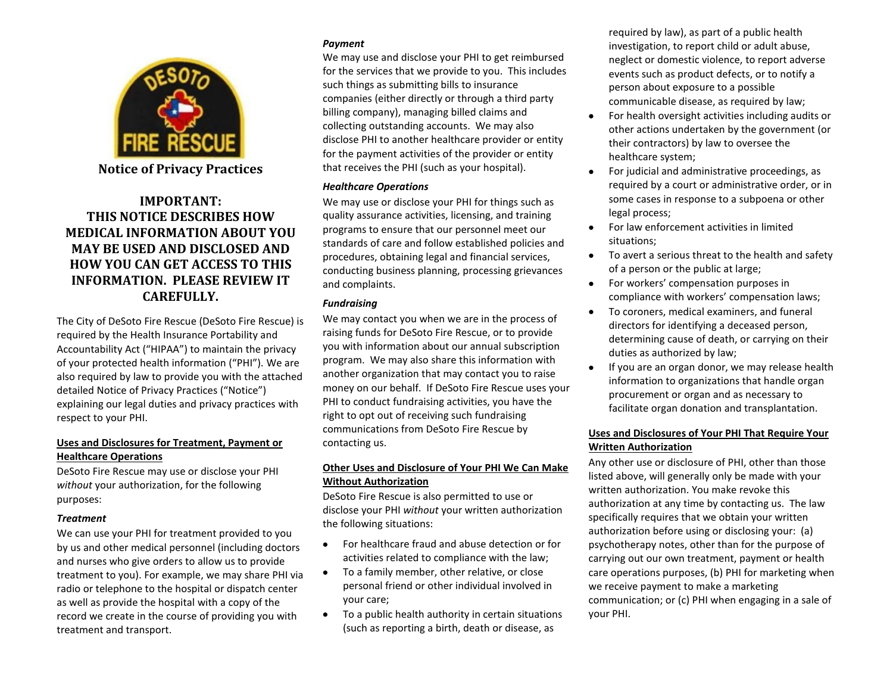

**Notice of Privacy Practices**

# **IMPORTANT: THIS NOTICE DESCRIBES HOW MEDICAL INFORMATION ABOUT YOU MAY BE USED AND DISCLOSED AND HOW YOU CAN GET ACCESS TO THIS INFORMATION. PLEASE REVIEW IT CAREFULLY.**

The City of DeSoto Fire Rescue (DeSoto Fire Rescue) is required by the Health Insurance Portability and Accountability Act ("HIPAA") to maintain the privacy of your protected health information ("PHI"). We are also required by law to provide you with the attached detailed Notice of Privacy Practices ("Notice") explaining our legal duties and privacy practices with respect to your PHI.

### **Uses and Disclosures for Treatment, Payment or Healthcare Operations**

DeSoto Fire Rescue may use or disclose your PHI *without* your authorization, for the following purposes:

### *Treatment*

We can use your PHI for treatment provided to you by us and other medical personnel (including doctors and nurses who give orders to allow us to provide treatment to you). For example, we may share PHI via radio or telephone to the hospital or dispatch center as well as provide the hospital with a copy of the record we create in the course of providing you with treatment and transport.

### *Payment*

We may use and disclose your PHI to get reimbursed for the services that we provide to you. This includes such things as submitting bills to insurance companies (either directly or through a third party billing company), managing billed claims and collecting outstanding accounts. We may also disclose PHI to another healthcare provider or entity for the payment activities of the provider or entity that receives the PHI (such as your hospital).

### *Healthcare Operations*

We may use or disclose your PHI for things such as quality assurance activities, licensing, and training programs to ensure that our personnel meet our standards of care and follow established policies and procedures, obtaining legal and financial services, conducting business planning, processing grievances and complaints.

### *Fundraising*

We may contact you when we are in the process of raising funds for DeSoto Fire Rescue, or to provide you with information about our annual subscription program. We may also share this information with another organization that may contact you to raise money on our behalf. If DeSoto Fire Rescue uses your PHI to conduct fundraising activities, you have the right to opt out of receiving such fundraising communications from DeSoto Fire Rescue by contacting us.

### **Other Uses and Disclosure of Your PHI We Can Make Without Authorization**

DeSoto Fire Rescue is also permitted to use or disclose your PHI *without* your written authorization the following situations:

- For healthcare fraud and abuse detection or for activities related to compliance with the law;
- To a family member, other relative, or close personal friend or other individual involved in your care;
- To a public health authority in certain situations (such as reporting a birth, death or disease, as

required by law), as part of a public health investigation, to report child or adult abuse, neglect or domestic violence, to report adverse events such as product defects, or to notify a person about exposure to a possible communicable disease, as required by law;

- For health oversight activities including audits or other actions undertaken by the government (or their contractors) by law to oversee the healthcare system;
- For judicial and administrative proceedings, as required by a court or administrative order, or in some cases in response to a subpoena or other legal process;
- For law enforcement activities in limited situations;
- To avert a serious threat to the health and safety of a person or the public at large;
- For workers' compensation purposes in compliance with workers' compensation laws;
- To coroners, medical examiners, and funeral directors for identifying a deceased person, determining cause of death, or carrying on their duties as authorized by law;
- If you are an organ donor, we may release health information to organizations that handle organ procurement or organ and as necessary to facilitate organ donation and transplantation.

## **Uses and Disclosures of Your PHI That Require Your Written Authorization**

Any other use or disclosure of PHI, other than those listed above, will generally only be made with your written authorization. You make revoke this authorization at any time by contacting us. The law specifically requires that we obtain your written authorization before using or disclosing your: (a) psychotherapy notes, other than for the purpose of carrying out our own treatment, payment or health care operations purposes, (b) PHI for marketing when we receive payment to make a marketing communication; or (c) PHI when engaging in a sale of your PHI.